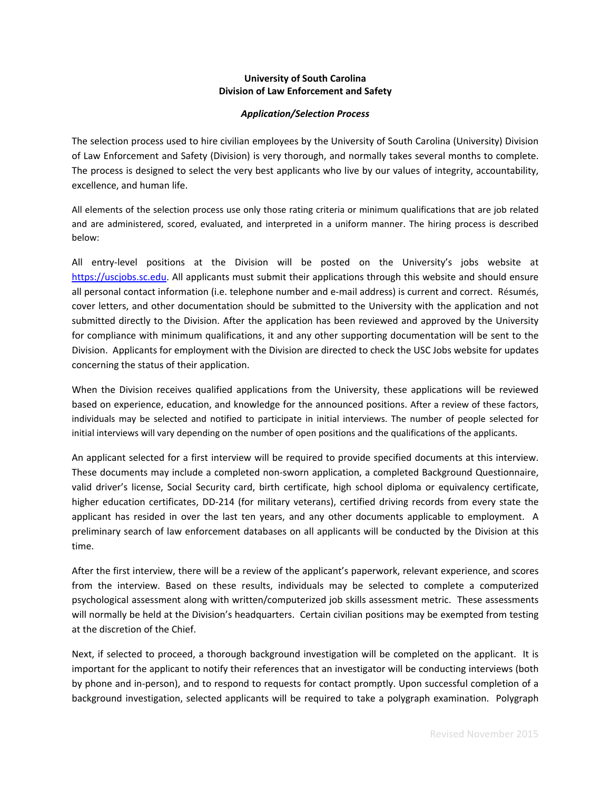## **University of South Carolina Division of Law Enforcement and Safety**

## *Application/Selection Process*

The selection process used to hire civilian employees by the University of South Carolina (University) Division of Law Enforcement and Safety (Division) is very thorough, and normally takes several months to complete. The process is designed to select the very best applicants who live by our values of integrity, accountability, excellence, and human life.

All elements of the selection process use only those rating criteria or minimum qualifications that are job related and are administered, scored, evaluated, and interpreted in a uniform manner. The hiring process is described below:

All entry‐level positions at the Division will be posted on the University's jobs website at https://uscjobs.sc.edu. All applicants must submit their applications through this website and should ensure all personal contact information (i.e. telephone number and e‐mail address) is current and correct. Résumés, cover letters, and other documentation should be submitted to the University with the application and not submitted directly to the Division. After the application has been reviewed and approved by the University for compliance with minimum qualifications, it and any other supporting documentation will be sent to the Division. Applicants for employment with the Division are directed to check the USC Jobs website for updates concerning the status of their application.

When the Division receives qualified applications from the University, these applications will be reviewed based on experience, education, and knowledge for the announced positions. After a review of these factors, individuals may be selected and notified to participate in initial interviews. The number of people selected for initial interviews will vary depending on the number of open positions and the qualifications of the applicants.

An applicant selected for a first interview will be required to provide specified documents at this interview. These documents may include a completed non‐sworn application, a completed Background Questionnaire, valid driver's license, Social Security card, birth certificate, high school diploma or equivalency certificate, higher education certificates, DD‐214 (for military veterans), certified driving records from every state the applicant has resided in over the last ten years, and any other documents applicable to employment. A preliminary search of law enforcement databases on all applicants will be conducted by the Division at this time.

After the first interview, there will be a review of the applicant's paperwork, relevant experience, and scores from the interview. Based on these results, individuals may be selected to complete a computerized psychological assessment along with written/computerized job skills assessment metric. These assessments will normally be held at the Division's headquarters. Certain civilian positions may be exempted from testing at the discretion of the Chief.

Next, if selected to proceed, a thorough background investigation will be completed on the applicant. It is important for the applicant to notify their references that an investigator will be conducting interviews (both by phone and in‐person), and to respond to requests for contact promptly. Upon successful completion of a background investigation, selected applicants will be required to take a polygraph examination. Polygraph